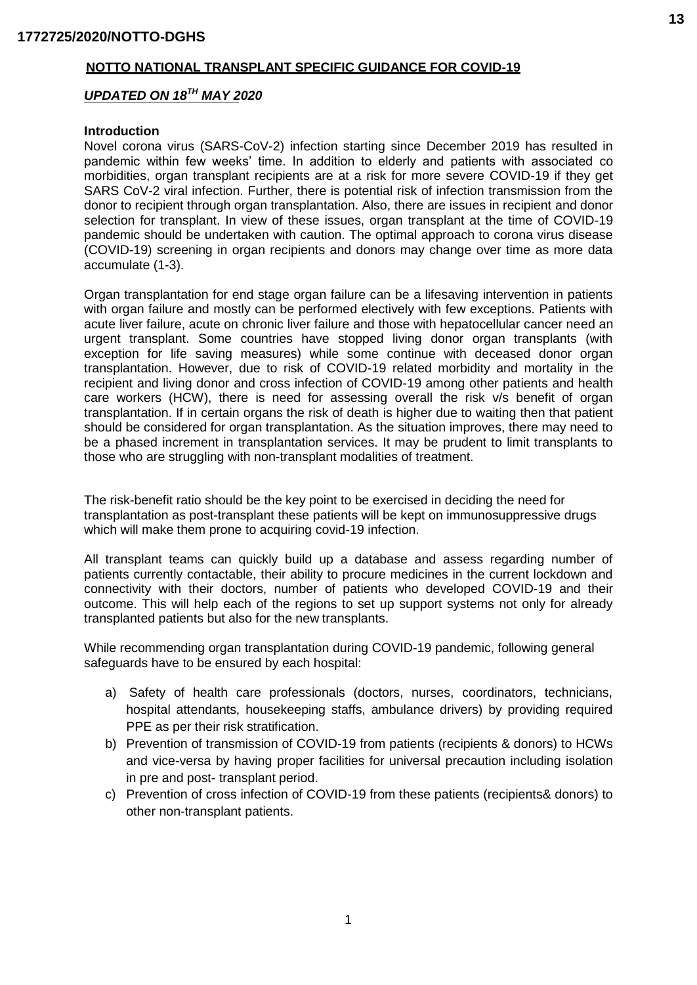## **NOTTO NATIONAL TRANSPLANT SPECIFIC GUIDANCE FOR COVID-19**

#### *UPDATED ON 18TH MAY 2020*

#### **Introduction**

Novel corona virus (SARS-CoV-2) infection starting since December 2019 has resulted in pandemic within few weeks' time. In addition to elderly and patients with associated co morbidities, organ transplant recipients are at a risk for more severe COVID-19 if they get SARS CoV-2 viral infection. Further, there is potential risk of infection transmission from the donor to recipient through organ transplantation. Also, there are issues in recipient and donor selection for transplant. In view of these issues, organ transplant at the time of COVID-19 pandemic should be undertaken with caution. The optimal approach to corona virus disease (COVID-19) screening in organ recipients and donors may change over time as more data accumulate (1-3).

Organ transplantation for end stage organ failure can be a lifesaving intervention in patients with organ failure and mostly can be performed electively with few exceptions. Patients with acute liver failure, acute on chronic liver failure and those with hepatocellular cancer need an urgent transplant. Some countries have stopped living donor organ transplants (with exception for life saving measures) while some continue with deceased donor organ transplantation. However, due to risk of COVID-19 related morbidity and mortality in the recipient and living donor and cross infection of COVID-19 among other patients and health care workers (HCW), there is need for assessing overall the risk v/s benefit of organ transplantation. If in certain organs the risk of death is higher due to waiting then that patient should be considered for organ transplantation. As the situation improves, there may need to be a phased increment in transplantation services. It may be prudent to limit transplants to those who are struggling with non-transplant modalities of treatment.

The risk-benefit ratio should be the key point to be exercised in deciding the need for transplantation as post-transplant these patients will be kept on immunosuppressive drugs which will make them prone to acquiring covid-19 infection.

All transplant teams can quickly build up a database and assess regarding number of patients currently contactable, their ability to procure medicines in the current lockdown and connectivity with their doctors, number of patients who developed COVID-19 and their outcome. This will help each of the regions to set up support systems not only for already transplanted patients but also for the new transplants.

While recommending organ transplantation during COVID-19 pandemic, following general safeguards have to be ensured by each hospital:

- a) Safety of health care professionals (doctors, nurses, coordinators, technicians, hospital attendants, housekeeping staffs, ambulance drivers) by providing required PPE as per their risk stratification.
- b) Prevention of transmission of COVID-19 from patients (recipients & donors) to HCWs and vice-versa by having proper facilities for universal precaution including isolation in pre and post- transplant period.
- c) Prevention of cross infection of COVID-19 from these patients (recipients& donors) to other non-transplant patients.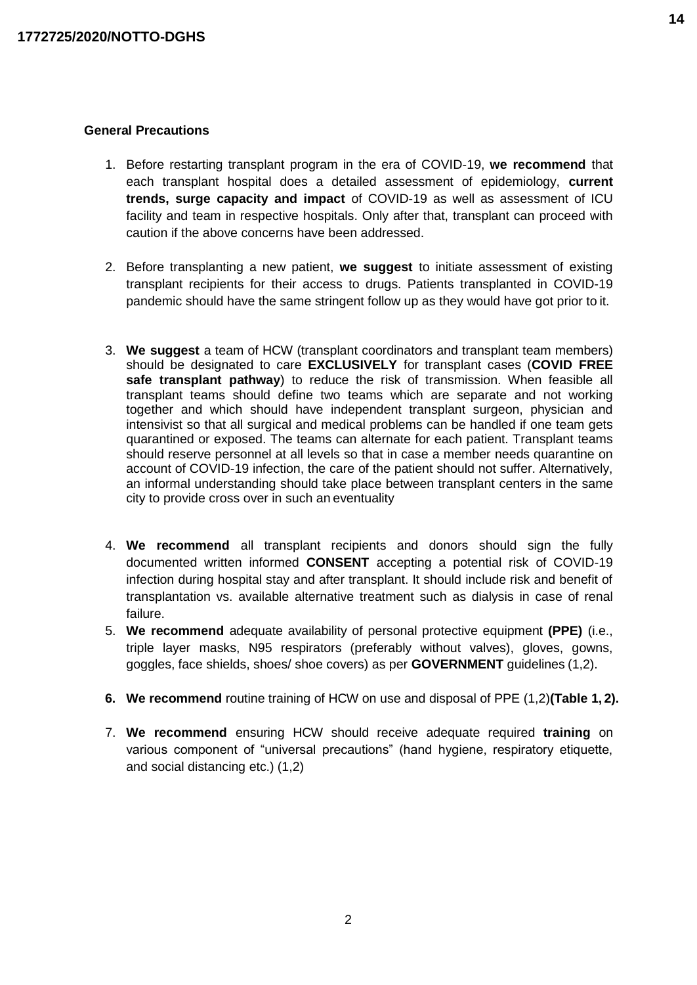#### **General Precautions**

- 1. Before restarting transplant program in the era of COVID-19, **we recommend** that each transplant hospital does a detailed assessment of epidemiology, **current trends, surge capacity and impact** of COVID-19 as well as assessment of ICU facility and team in respective hospitals. Only after that, transplant can proceed with caution if the above concerns have been addressed.
- 2. Before transplanting a new patient, **we suggest** to initiate assessment of existing transplant recipients for their access to drugs. Patients transplanted in COVID-19 pandemic should have the same stringent follow up as they would have got prior to it.
- 3. **We suggest** a team of HCW (transplant coordinators and transplant team members) should be designated to care **EXCLUSIVELY** for transplant cases (**COVID FREE safe transplant pathway**) to reduce the risk of transmission. When feasible all transplant teams should define two teams which are separate and not working together and which should have independent transplant surgeon, physician and intensivist so that all surgical and medical problems can be handled if one team gets quarantined or exposed. The teams can alternate for each patient. Transplant teams should reserve personnel at all levels so that in case a member needs quarantine on account of COVID-19 infection, the care of the patient should not suffer. Alternatively, an informal understanding should take place between transplant centers in the same city to provide cross over in such an eventuality
- 4. **We recommend** all transplant recipients and donors should sign the fully documented written informed **CONSENT** accepting a potential risk of COVID-19 infection during hospital stay and after transplant. It should include risk and benefit of transplantation vs. available alternative treatment such as dialysis in case of renal failure.
- 5. **We recommend** adequate availability of personal protective equipment **(PPE)** (i.e., triple layer masks, N95 respirators (preferably without valves), gloves, gowns, goggles, face shields, shoes/ shoe covers) as per **GOVERNMENT** guidelines (1,2).
- **6. We recommend** routine training of HCW on use and disposal of PPE (1,2)**(Table 1, 2).**
- 7. **We recommend** ensuring HCW should receive adequate required **training** on various component of "universal precautions" (hand hygiene, respiratory etiquette, and social distancing etc.) (1,2)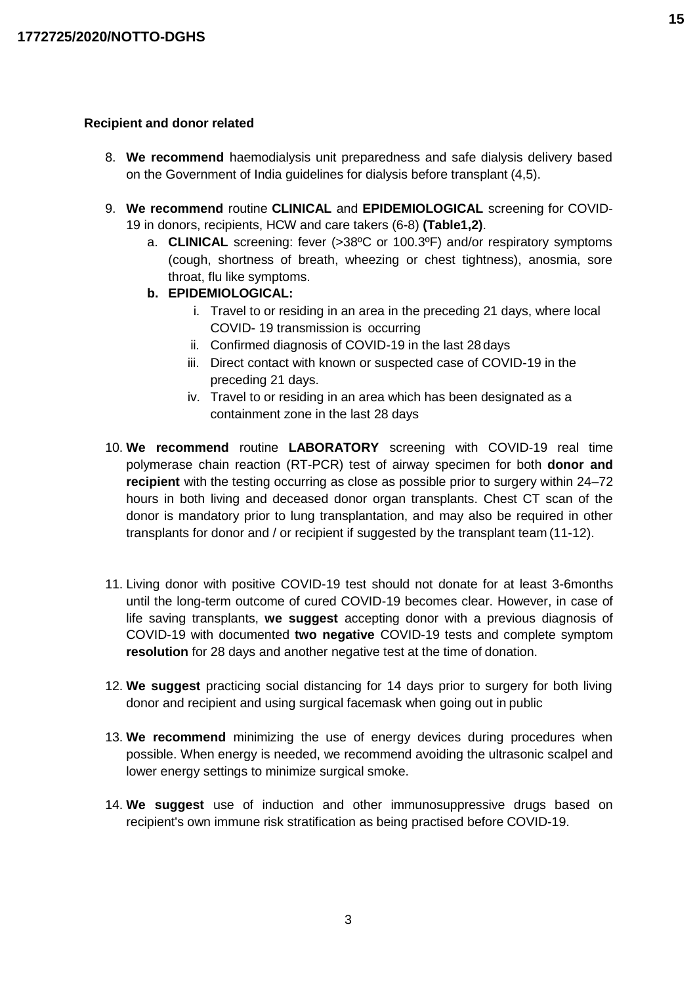#### **Recipient and donor related**

- 8. **We recommend** haemodialysis unit preparedness and safe dialysis delivery based on the Government of India guidelines for dialysis before transplant (4,5).
- 9. **We recommend** routine **CLINICAL** and **EPIDEMIOLOGICAL** screening for COVID-19 in donors, recipients, HCW and care takers (6-8) **(Table1,2)**.
	- a. **CLINICAL** screening: fever (>38ºC or 100.3ºF) and/or respiratory symptoms (cough, shortness of breath, wheezing or chest tightness), anosmia, sore throat, flu like symptoms.
	- **b. EPIDEMIOLOGICAL:**
		- i. Travel to or residing in an area in the preceding 21 days, where local COVID- 19 transmission is occurring
		- ii. Confirmed diagnosis of COVID-19 in the last 28 days
		- iii. Direct contact with known or suspected case of COVID-19 in the preceding 21 days.
		- iv. Travel to or residing in an area which has been designated as a containment zone in the last 28 days
- 10. **We recommend** routine **LABORATORY** screening with COVID-19 real time polymerase chain reaction (RT-PCR) test of airway specimen for both **donor and recipient** with the testing occurring as close as possible prior to surgery within 24–72 hours in both living and deceased donor organ transplants. Chest CT scan of the donor is mandatory prior to lung transplantation, and may also be required in other transplants for donor and / or recipient if suggested by the transplant team (11-12).
- 11. Living donor with positive COVID-19 test should not donate for at least 3-6months until the long-term outcome of cured COVID-19 becomes clear. However, in case of life saving transplants, **we suggest** accepting donor with a previous diagnosis of COVID-19 with documented **two negative** COVID-19 tests and complete symptom **resolution** for 28 days and another negative test at the time of donation.
- 12. **We suggest** practicing social distancing for 14 days prior to surgery for both living donor and recipient and using surgical facemask when going out in public
- 13. **We recommend** minimizing the use of energy devices during procedures when possible. When energy is needed, we recommend avoiding the ultrasonic scalpel and lower energy settings to minimize surgical smoke.
- 14. **We suggest** use of induction and other immunosuppressive drugs based on recipient's own immune risk stratification as being practised before COVID-19.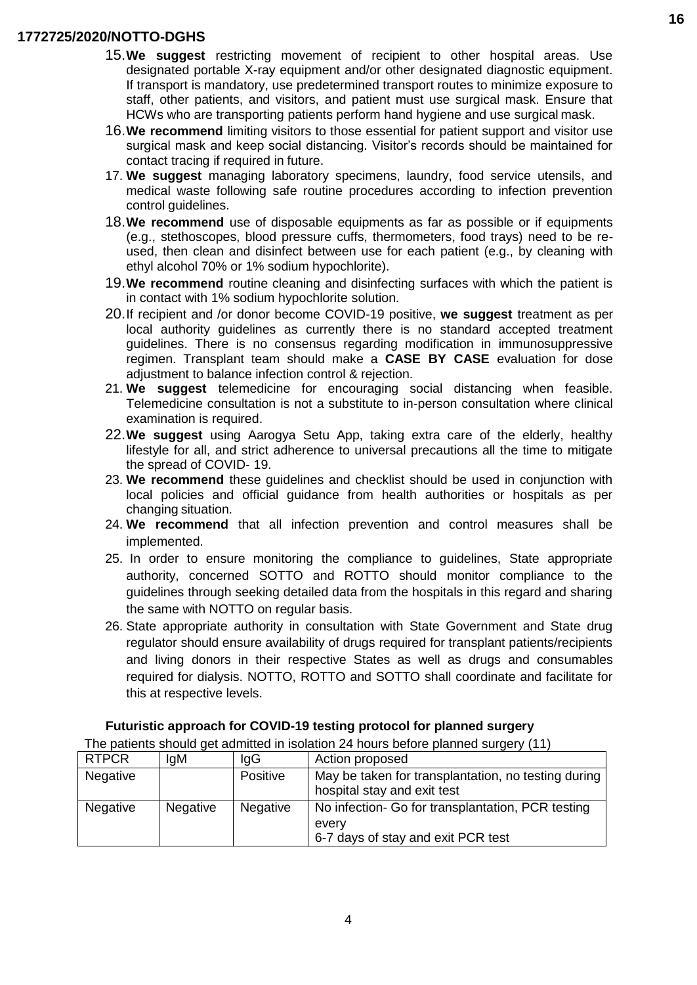- 15.**We suggest** restricting movement of recipient to other hospital areas. Use designated portable X-ray equipment and/or other designated diagnostic equipment. If transport is mandatory, use predetermined transport routes to minimize exposure to staff, other patients, and visitors, and patient must use surgical mask. Ensure that HCWs who are transporting patients perform hand hygiene and use surgical mask.
- 16.**We recommend** limiting visitors to those essential for patient support and visitor use surgical mask and keep social distancing. Visitor's records should be maintained for contact tracing if required in future.
- 17. **We suggest** managing laboratory specimens, laundry, food service utensils, and medical waste following safe routine procedures according to infection prevention control guidelines.
- 18.**We recommend** use of disposable equipments as far as possible or if equipments (e.g., stethoscopes, blood pressure cuffs, thermometers, food trays) need to be reused, then clean and disinfect between use for each patient (e.g., by cleaning with ethyl alcohol 70% or 1% sodium hypochlorite).
- 19.**We recommend** routine cleaning and disinfecting surfaces with which the patient is in contact with 1% sodium hypochlorite solution.
- 20.If recipient and /or donor become COVID-19 positive, **we suggest** treatment as per local authority guidelines as currently there is no standard accepted treatment guidelines. There is no consensus regarding modification in immunosuppressive regimen. Transplant team should make a **CASE BY CASE** evaluation for dose adjustment to balance infection control & rejection.
- 21. **We suggest** telemedicine for encouraging social distancing when feasible. Telemedicine consultation is not a substitute to in-person consultation where clinical examination is required.
- 22.**We suggest** using Aarogya Setu App, taking extra care of the elderly, healthy lifestyle for all, and strict adherence to universal precautions all the time to mitigate the spread of COVID- 19.
- 23. **We recommend** these guidelines and checklist should be used in conjunction with local policies and official guidance from health authorities or hospitals as per changing situation.
- 24. **We recommend** that all infection prevention and control measures shall be implemented.
- 25. In order to ensure monitoring the compliance to guidelines, State appropriate authority, concerned SOTTO and ROTTO should monitor compliance to the guidelines through seeking detailed data from the hospitals in this regard and sharing the same with NOTTO on regular basis.
- 26. State appropriate authority in consultation with State Government and State drug regulator should ensure availability of drugs required for transplant patients/recipients and living donors in their respective States as well as drugs and consumables required for dialysis. NOTTO, ROTTO and SOTTO shall coordinate and facilitate for this at respective levels.

# **Futuristic approach for COVID-19 testing protocol for planned surgery**

The patients should get admitted in isolation 24 hours before planned surgery (11)

| <b>RTPCR</b>    | lgM             | lgG             | Action proposed                                     |
|-----------------|-----------------|-----------------|-----------------------------------------------------|
| <b>Negative</b> |                 | Positive        | May be taken for transplantation, no testing during |
|                 |                 |                 | hospital stay and exit test                         |
| <b>Negative</b> | <b>Negative</b> | <b>Negative</b> | No infection- Go for transplantation, PCR testing   |
|                 |                 |                 | every                                               |
|                 |                 |                 | 6-7 days of stay and exit PCR test                  |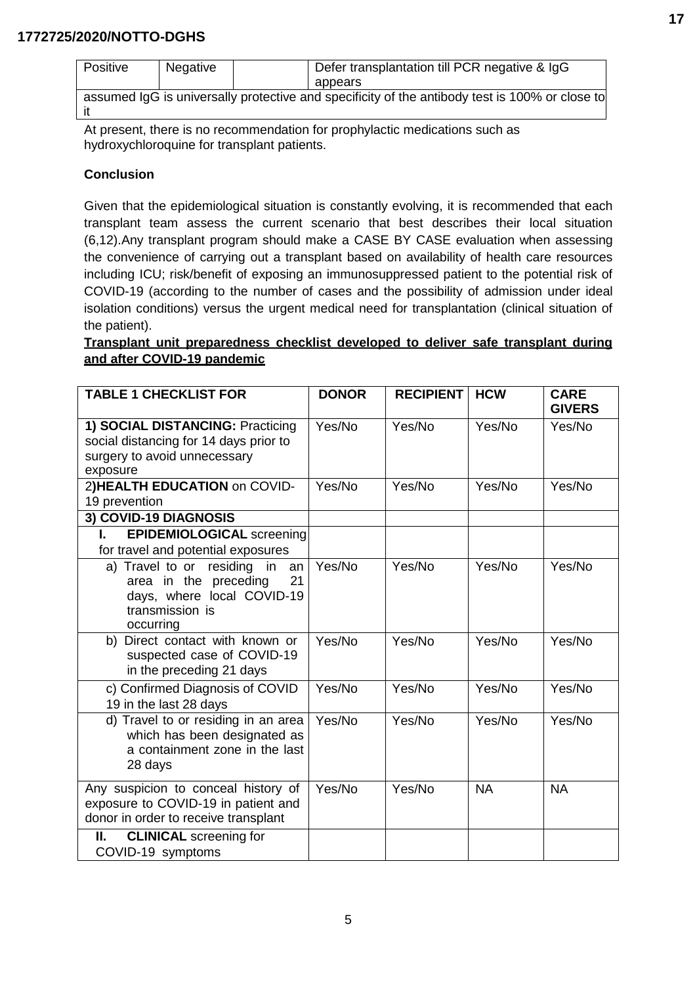| <b>Positive</b>                                                                                | Negative |  | Defer transplantation till PCR negative & IgG |  |  |
|------------------------------------------------------------------------------------------------|----------|--|-----------------------------------------------|--|--|
|                                                                                                |          |  | appears                                       |  |  |
| assumed IgG is universally protective and specificity of the antibody test is 100% or close to |          |  |                                               |  |  |
|                                                                                                |          |  |                                               |  |  |

At present, there is no recommendation for prophylactic medications such as hydroxychloroquine for transplant patients.

#### **Conclusion**

Given that the epidemiological situation is constantly evolving, it is recommended that each transplant team assess the current scenario that best describes their local situation (6,12).Any transplant program should make a CASE BY CASE evaluation when assessing the convenience of carrying out a transplant based on availability of health care resources including ICU; risk/benefit of exposing an immunosuppressed patient to the potential risk of COVID-19 (according to the number of cases and the possibility of admission under ideal isolation conditions) versus the urgent medical need for transplantation (clinical situation of the patient).

# **Transplant unit preparedness checklist developed to deliver safe transplant during and after COVID-19 pandemic**

| <b>TABLE 1 CHECKLIST FOR</b>                                                                                                   | <b>DONOR</b> | <b>RECIPIENT</b> | <b>HCW</b> | <b>CARE</b><br><b>GIVERS</b> |
|--------------------------------------------------------------------------------------------------------------------------------|--------------|------------------|------------|------------------------------|
| 1) SOCIAL DISTANCING: Practicing<br>social distancing for 14 days prior to<br>surgery to avoid unnecessary<br>exposure         | Yes/No       | Yes/No           | Yes/No     | Yes/No                       |
| 2) HEALTH EDUCATION on COVID-<br>19 prevention                                                                                 | Yes/No       | Yes/No           | Yes/No     | Yes/No                       |
| 3) COVID-19 DIAGNOSIS                                                                                                          |              |                  |            |                              |
| <b>EPIDEMIOLOGICAL screening</b><br>$\mathbf{L}$<br>for travel and potential exposures                                         |              |                  |            |                              |
| a) Travel to or residing in<br>an<br>area in the preceding<br>21<br>days, where local COVID-19<br>transmission is<br>occurring | Yes/No       | Yes/No           | Yes/No     | Yes/No                       |
| b) Direct contact with known or<br>suspected case of COVID-19<br>in the preceding 21 days                                      | Yes/No       | Yes/No           | Yes/No     | Yes/No                       |
| c) Confirmed Diagnosis of COVID<br>19 in the last 28 days                                                                      | Yes/No       | Yes/No           | Yes/No     | Yes/No                       |
| d) Travel to or residing in an area<br>which has been designated as<br>a containment zone in the last<br>28 days               | Yes/No       | Yes/No           | Yes/No     | Yes/No                       |
| Any suspicion to conceal history of<br>exposure to COVID-19 in patient and<br>donor in order to receive transplant             | Yes/No       | Yes/No           | <b>NA</b>  | <b>NA</b>                    |
| <b>CLINICAL</b> screening for<br>Н.<br>COVID-19 symptoms                                                                       |              |                  |            |                              |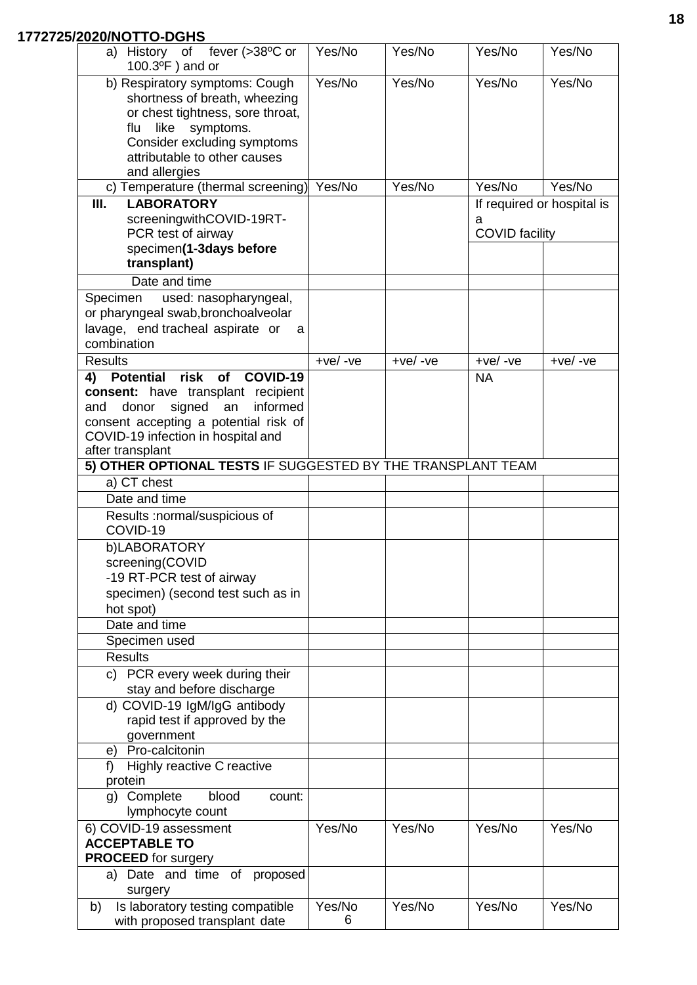| a) History of fever (>38°C or<br>$100.3$ <sup>o</sup> F) and or                                                                                                | Yes/No      | Yes/No     | Yes/No                     | Yes/No                     |
|----------------------------------------------------------------------------------------------------------------------------------------------------------------|-------------|------------|----------------------------|----------------------------|
| b) Respiratory symptoms: Cough<br>shortness of breath, wheezing<br>or chest tightness, sore throat,<br>symptoms.<br>flu<br>like<br>Consider excluding symptoms | Yes/No      | Yes/No     | Yes/No                     | Yes/No                     |
| attributable to other causes<br>and allergies                                                                                                                  |             |            |                            |                            |
| c) Temperature (thermal screening)                                                                                                                             | Yes/No      | Yes/No     | Yes/No                     | Yes/No                     |
| III.<br><b>LABORATORY</b>                                                                                                                                      |             |            |                            | If required or hospital is |
| screeningwithCOVID-19RT-<br>PCR test of airway                                                                                                                 |             |            | a<br><b>COVID</b> facility |                            |
| specimen(1-3days before                                                                                                                                        |             |            |                            |                            |
| transplant)                                                                                                                                                    |             |            |                            |                            |
| Date and time                                                                                                                                                  |             |            |                            |                            |
| Specimen<br>used: nasopharyngeal,<br>or pharyngeal swab, bronchoalveolar<br>lavage, end tracheal aspirate or<br>a<br>combination                               |             |            |                            |                            |
| <b>Results</b>                                                                                                                                                 | $+ve/ -ve$  | $+ve/ -ve$ | $+ve/ -ve$                 | $+ve/ -ve$                 |
| <b>Potential risk</b><br>COVID-19<br>of<br>4)                                                                                                                  |             |            | <b>NA</b>                  |                            |
| consent: have transplant recipient<br>informed<br>signed<br>donor<br>an<br>and                                                                                 |             |            |                            |                            |
| consent accepting a potential risk of                                                                                                                          |             |            |                            |                            |
| COVID-19 infection in hospital and                                                                                                                             |             |            |                            |                            |
| after transplant<br>5) OTHER OPTIONAL TESTS IF SUGGESTED BY THE TRANSPLANT TEAM                                                                                |             |            |                            |                            |
| a) CT chest                                                                                                                                                    |             |            |                            |                            |
| Date and time                                                                                                                                                  |             |            |                            |                            |
| Results :normal/suspicious of<br>COVID-19                                                                                                                      |             |            |                            |                            |
| b)LABORATORY                                                                                                                                                   |             |            |                            |                            |
| screening(COVID<br>-19 RT-PCR test of airway                                                                                                                   |             |            |                            |                            |
| specimen) (second test such as in                                                                                                                              |             |            |                            |                            |
| hot spot)                                                                                                                                                      |             |            |                            |                            |
| Date and time                                                                                                                                                  |             |            |                            |                            |
| Specimen used                                                                                                                                                  |             |            |                            |                            |
| <b>Results</b>                                                                                                                                                 |             |            |                            |                            |
| c) PCR every week during their<br>stay and before discharge                                                                                                    |             |            |                            |                            |
| d) COVID-19 IgM/IgG antibody                                                                                                                                   |             |            |                            |                            |
| rapid test if approved by the                                                                                                                                  |             |            |                            |                            |
| government                                                                                                                                                     |             |            |                            |                            |
| e) Pro-calcitonin<br>Highly reactive C reactive<br>f)                                                                                                          |             |            |                            |                            |
| protein                                                                                                                                                        |             |            |                            |                            |
| blood<br>g) Complete<br>count:<br>lymphocyte count                                                                                                             |             |            |                            |                            |
| 6) COVID-19 assessment                                                                                                                                         | Yes/No      | Yes/No     | Yes/No                     | Yes/No                     |
| <b>ACCEPTABLE TO</b><br><b>PROCEED</b> for surgery                                                                                                             |             |            |                            |                            |
| a) Date and time of proposed                                                                                                                                   |             |            |                            |                            |
| surgery                                                                                                                                                        |             |            |                            |                            |
| Is laboratory testing compatible<br>b)<br>with proposed transplant date                                                                                        | Yes/No<br>6 | Yes/No     | Yes/No                     | Yes/No                     |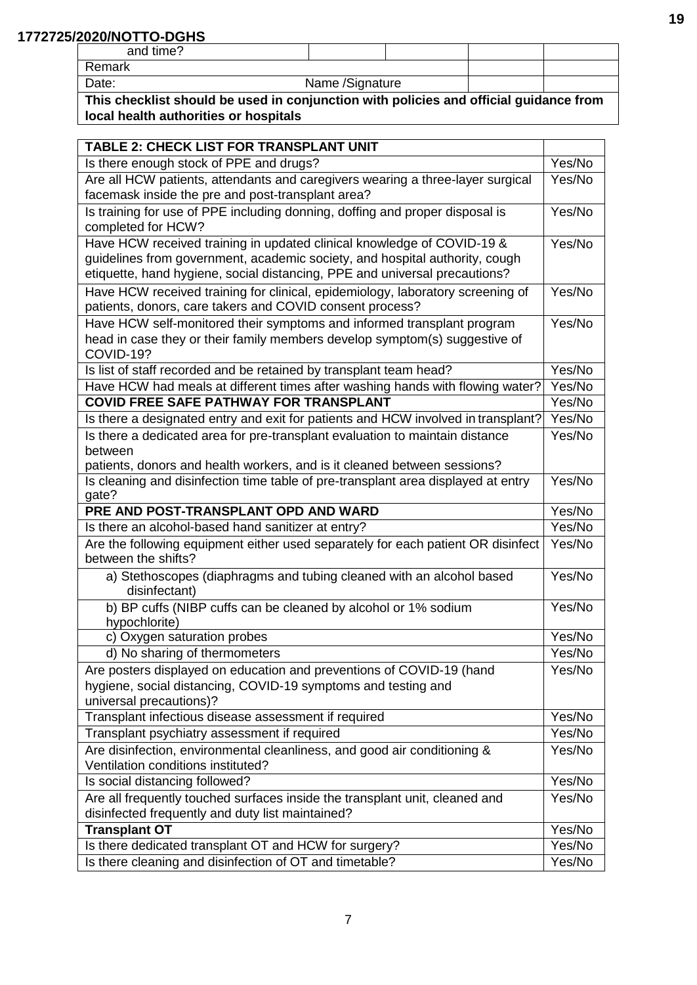| and time? |                 |  |  |
|-----------|-----------------|--|--|
| Remark    |                 |  |  |
| Date:     | Name /Signature |  |  |

**This checklist should be used in conjunction with policies and official guidance from local health authorities or hospitals**

| <b>TABLE 2: CHECK LIST FOR TRANSPLANT UNIT</b>                                                          |        |  |  |
|---------------------------------------------------------------------------------------------------------|--------|--|--|
| Is there enough stock of PPE and drugs?                                                                 |        |  |  |
| Are all HCW patients, attendants and caregivers wearing a three-layer surgical                          |        |  |  |
| facemask inside the pre and post-transplant area?                                                       |        |  |  |
| Is training for use of PPE including donning, doffing and proper disposal is<br>completed for HCW?      | Yes/No |  |  |
| Have HCW received training in updated clinical knowledge of COVID-19 &                                  | Yes/No |  |  |
| guidelines from government, academic society, and hospital authority, cough                             |        |  |  |
| etiquette, hand hygiene, social distancing, PPE and universal precautions?                              |        |  |  |
| Have HCW received training for clinical, epidemiology, laboratory screening of                          | Yes/No |  |  |
| patients, donors, care takers and COVID consent process?                                                |        |  |  |
| Have HCW self-monitored their symptoms and informed transplant program                                  | Yes/No |  |  |
| head in case they or their family members develop symptom(s) suggestive of                              |        |  |  |
| COVID-19?                                                                                               |        |  |  |
| Is list of staff recorded and be retained by transplant team head?                                      | Yes/No |  |  |
| Have HCW had meals at different times after washing hands with flowing water?                           | Yes/No |  |  |
| <b>COVID FREE SAFE PATHWAY FOR TRANSPLANT</b>                                                           | Yes/No |  |  |
| Is there a designated entry and exit for patients and HCW involved in transplant?                       | Yes/No |  |  |
| Is there a dedicated area for pre-transplant evaluation to maintain distance                            | Yes/No |  |  |
| between                                                                                                 |        |  |  |
| patients, donors and health workers, and is it cleaned between sessions?                                |        |  |  |
| Is cleaning and disinfection time table of pre-transplant area displayed at entry                       | Yes/No |  |  |
| gate?<br>PRE AND POST-TRANSPLANT OPD AND WARD                                                           | Yes/No |  |  |
| Is there an alcohol-based hand sanitizer at entry?                                                      |        |  |  |
|                                                                                                         |        |  |  |
|                                                                                                         | Yes/No |  |  |
| Are the following equipment either used separately for each patient OR disinfect<br>between the shifts? | Yes/No |  |  |
| a) Stethoscopes (diaphragms and tubing cleaned with an alcohol based<br>disinfectant)                   | Yes/No |  |  |
| b) BP cuffs (NIBP cuffs can be cleaned by alcohol or 1% sodium                                          | Yes/No |  |  |
| hypochlorite)                                                                                           |        |  |  |
| c) Oxygen saturation probes                                                                             | Yes/No |  |  |
| d) No sharing of thermometers                                                                           | Yes/No |  |  |
| Are posters displayed on education and preventions of COVID-19 (hand                                    | Yes/No |  |  |
| hygiene, social distancing, COVID-19 symptoms and testing and                                           |        |  |  |
| universal precautions)?                                                                                 |        |  |  |
| Transplant infectious disease assessment if required                                                    | Yes/No |  |  |
| Transplant psychiatry assessment if required                                                            | Yes/No |  |  |
| Are disinfection, environmental cleanliness, and good air conditioning &                                | Yes/No |  |  |
| Ventilation conditions instituted?                                                                      |        |  |  |
| Is social distancing followed?                                                                          | Yes/No |  |  |
| Are all frequently touched surfaces inside the transplant unit, cleaned and                             | Yes/No |  |  |
| disinfected frequently and duty list maintained?                                                        | Yes/No |  |  |
| <b>Transplant OT</b><br>Is there dedicated transplant OT and HCW for surgery?                           | Yes/No |  |  |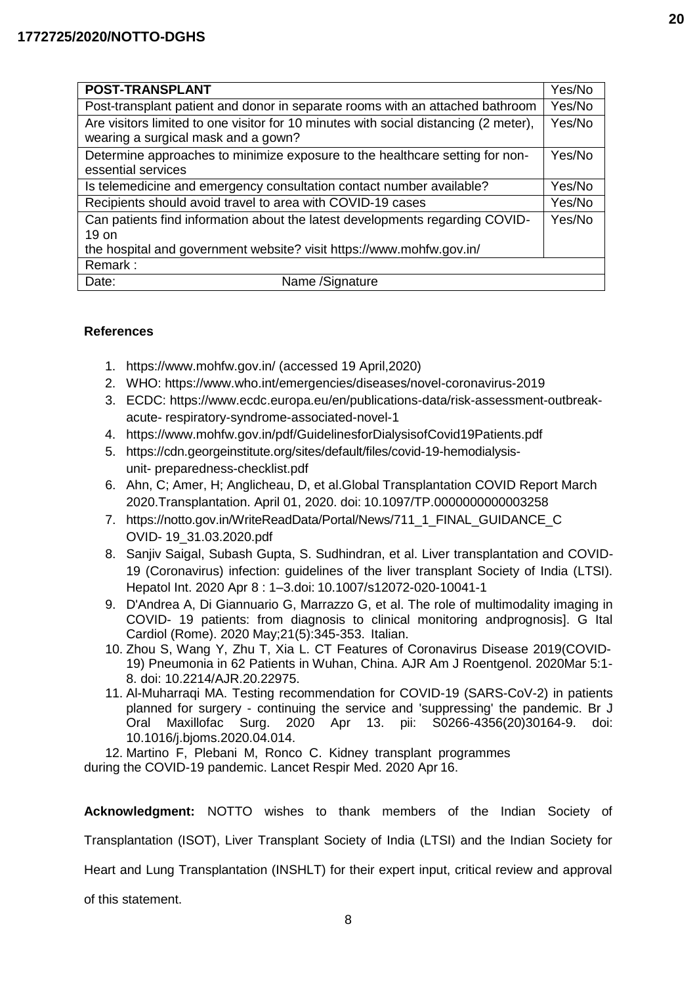| POST-TRANSPLANT                                                                                                             | Yes/No |  |  |
|-----------------------------------------------------------------------------------------------------------------------------|--------|--|--|
| Post-transplant patient and donor in separate rooms with an attached bathroom                                               | Yes/No |  |  |
| Are visitors limited to one visitor for 10 minutes with social distancing (2 meter),<br>wearing a surgical mask and a gown? | Yes/No |  |  |
| Determine approaches to minimize exposure to the healthcare setting for non-                                                | Yes/No |  |  |
| essential services                                                                                                          |        |  |  |
| Is telemedicine and emergency consultation contact number available?                                                        |        |  |  |
| Recipients should avoid travel to area with COVID-19 cases                                                                  |        |  |  |
| Can patients find information about the latest developments regarding COVID-                                                | Yes/No |  |  |
| 19 on                                                                                                                       |        |  |  |
| the hospital and government website? visit https://www.mohfw.gov.in/                                                        |        |  |  |
| Remark:                                                                                                                     |        |  |  |
| Name / Signature<br>Date:                                                                                                   |        |  |  |

### **References**

- 1. https:[//www.mohfw.gov.in/ \(](http://www.mohfw.gov.in/)accessed 19 April,2020)
- 2. WHO: [https://www.who.int/emergencies/diseases/novel-coronavirus-2019](https://www.rediffmail.com/cgi-bin/red.cgi?red=https%3A%2F%2Fwww%2Ewho%2Eint%2Femergencies%2Fdiseases%2Fnovel%2Dcoronavirus%2D2019&isImage=0&BlockImage=0&rediffng=0&rogue=3738053363b49df4be52595c78455fca0ca39ee1&rdf=VmcCcgR1VDhWfQQ1ADhQb1F3USELNQ%3D%3D)
- 3. ECDC: [https://www.ecdc.europa.eu/en/publications-data/risk-assessment-outbreak](https://www.rediffmail.com/cgi-bin/red.cgi?red=https%3A%2F%2Fwww%2Eecdc%2Eeuropa%2Eeu%2Fen%2Fpublications%2Ddata%2Frisk%2Dassessment%2Doutbreak%2Dacute%2Drespiratory%2Dsyndrome%2Dassociated%2Dnovel%2D1&isImage=0&BlockImage=0&rediffng=0&rogue=102abb698c29141dae08dd65d06719f97de7589c&rdf=UmMJeQd2A29Uf1BhV28DPAIkA3NYZg%3D%3D)acute- [respiratory-syndrome-associated-novel-1](https://www.rediffmail.com/cgi-bin/red.cgi?red=https%3A%2F%2Fwww%2Eecdc%2Eeuropa%2Eeu%2Fen%2Fpublications%2Ddata%2Frisk%2Dassessment%2Doutbreak%2Dacute%2Drespiratory%2Dsyndrome%2Dassociated%2Dnovel%2D1&isImage=0&BlockImage=0&rediffng=0&rogue=102abb698c29141dae08dd65d06719f97de7589c&rdf=UmMJeQd2A29Uf1BhV28DPAIkA3NYZg%3D%3D)
- 4. <https://www.mohfw.gov.in/pdf/GuidelinesforDialysisofCovid19Patients.pdf>
- 5. https://cdn.georgeinstitute.org/sites/default/files/covid-19-hemodialysisunit- preparedness-checklist.pdf
- 6. Ahn, C; Amer, H; Anglicheau, D, et al.Global Transplantation COVID Report March 2020.Transplantation. April 01, 2020. doi: 10.1097/TP.0000000000003258
- 7. [https://notto.gov.in/WriteReadData/Portal/News/711\\_1\\_FINAL\\_GUIDANCE\\_C](https://notto.gov.in/WriteReadData/Portal/News/711_1_FINAL_GUIDANCE_COVID-19_31.03.2020.pdf) OVID- [19\\_31.03.2020.pdf](https://notto.gov.in/WriteReadData/Portal/News/711_1_FINAL_GUIDANCE_COVID-19_31.03.2020.pdf)
- 8. Sanjiv Saigal, Subash Gupta, S. Sudhindran, et al. Liver transplantation and COVID-19 (Coronavirus) infection: guidelines of the liver transplant Society of India (LTSI)[.](https://www.ncbi.nlm.nih.gov/pmc/articles/PMC7140588/) [Hepatol Int.](https://www.ncbi.nlm.nih.gov/pmc/articles/PMC7140588/) 2020 Apr 8 : 1–3.doi: [10.1007/s12072-020-10041-1](https://dx.doi.org/10.1007%2Fs12072-020-10041-1)
- 9. D'Andrea A, Di Giannuario G, Marrazzo G, et al. The role of multimodality imaging in COVID- 19 patients: from diagnosis to clinical monitoring andprognosis]. G Ital Cardiol (Rome). 2020 May;21(5):345-353. Italian.
- 10. Zhou S, Wang Y, Zhu T, Xia L. CT Features of Coronavirus Disease 2019(COVID-19) Pneumonia in 62 Patients in Wuhan, China. AJR Am J Roentgenol. 2020Mar 5:1- 8. doi: 10.2214/AJR.20.22975.
- 11. Al-Muharraqi MA. Testing recommendation for COVID-19 (SARS-CoV-2) in patients planned for surgery - continuing the service and 'suppressing' the pandemic. Br J Oral Maxillofac Surg. 2020 Apr 13. pii: S0266-4356(20)30164-9. doi: 10.1016/j.bjoms.2020.04.014.

12. Martino F, Plebani M, Ronco C. Kidney transplant programmes during the COVID-19 pandemic. Lancet Respir Med. 2020 Apr 16.

**Acknowledgment:** NOTTO wishes to thank members of the Indian Society of Transplantation (ISOT), Liver Transplant Society of India (LTSI) and the Indian Society for Heart and Lung Transplantation (INSHLT) for their expert input, critical review and approval of this statement.